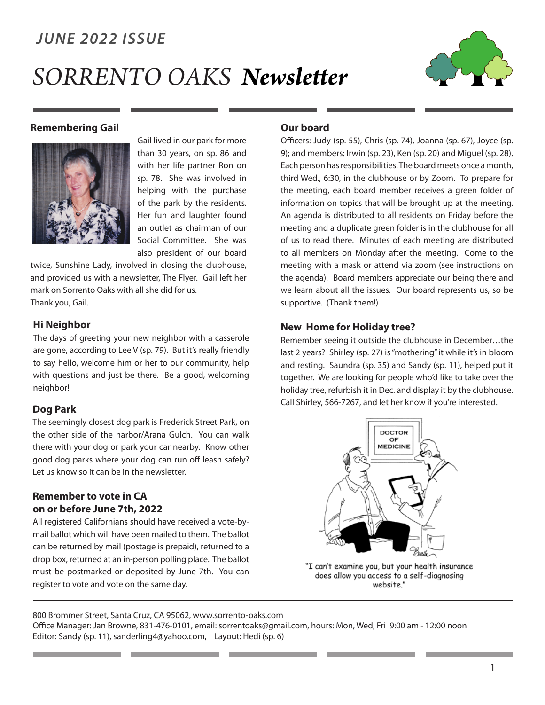### *JUNE 2022 ISSUE*

# *SORRENTO OAKS Newsletter*



#### **Remembering Gail**



Gail lived in our park for more than 30 years, on sp. 86 and with her life partner Ron on sp. 78. She was involved in helping with the purchase of the park by the residents. Her fun and laughter found an outlet as chairman of our Social Committee. She was also president of our board

twice, Sunshine Lady, involved in closing the clubhouse, and provided us with a newsletter, The Flyer. Gail left her mark on Sorrento Oaks with all she did for us. Thank you, Gail.

#### **Hi Neighbor**

The days of greeting your new neighbor with a casserole are gone, according to Lee V (sp. 79). But it's really friendly to say hello, welcome him or her to our community, help with questions and just be there. Be a good, welcoming neighbor!

#### **Dog Park**

The seemingly closest dog park is Frederick Street Park, on the other side of the harbor/Arana Gulch. You can walk there with your dog or park your car nearby. Know other good dog parks where your dog can run off leash safely? Let us know so it can be in the newsletter.

#### **Remember to vote in CA on or before June 7th, 2022**

All registered Californians should have received a vote-bymail ballot which will have been mailed to them. The ballot can be returned by mail (postage is prepaid), returned to a drop box, returned at an in-person polling place. The ballot must be postmarked or deposited by June 7th. You can register to vote and vote on the same day.

#### **Our board**

Officers: Judy (sp. 55), Chris (sp. 74), Joanna (sp. 67), Joyce (sp. 9); and members: Irwin (sp. 23), Ken (sp. 20) and Miguel (sp. 28). Each person has responsibilities. The board meets once a month, third Wed., 6:30, in the clubhouse or by Zoom. To prepare for the meeting, each board member receives a green folder of information on topics that will be brought up at the meeting. An agenda is distributed to all residents on Friday before the meeting and a duplicate green folder is in the clubhouse for all of us to read there. Minutes of each meeting are distributed to all members on Monday after the meeting. Come to the meeting with a mask or attend via zoom (see instructions on the agenda). Board members appreciate our being there and we learn about all the issues. Our board represents us, so be supportive. (Thank them!)

#### **New Home for Holiday tree?**

Remember seeing it outside the clubhouse in December…the last 2 years? Shirley (sp. 27) is "mothering" it while it's in bloom and resting. Saundra (sp. 35) and Sandy (sp. 11), helped put it together. We are looking for people who'd like to take over the holiday tree, refurbish it in Dec. and display it by the clubhouse. Call Shirley, 566-7267, and let her know if you're interested.



"I can't examine you, but your health insurance does allow you access to a self-diagnosing website."

800 Brommer Street, Santa Cruz, CA 95062, www.sorrento-oaks.com

Office Manager: Jan Browne, 831-476-0101, email: sorrentoaks@gmail.com, hours: Mon, Wed, Fri 9:00 am - 12:00 noon Editor: Sandy (sp. 11), sanderling4@yahoo.com, Layout: Hedi (sp. 6)